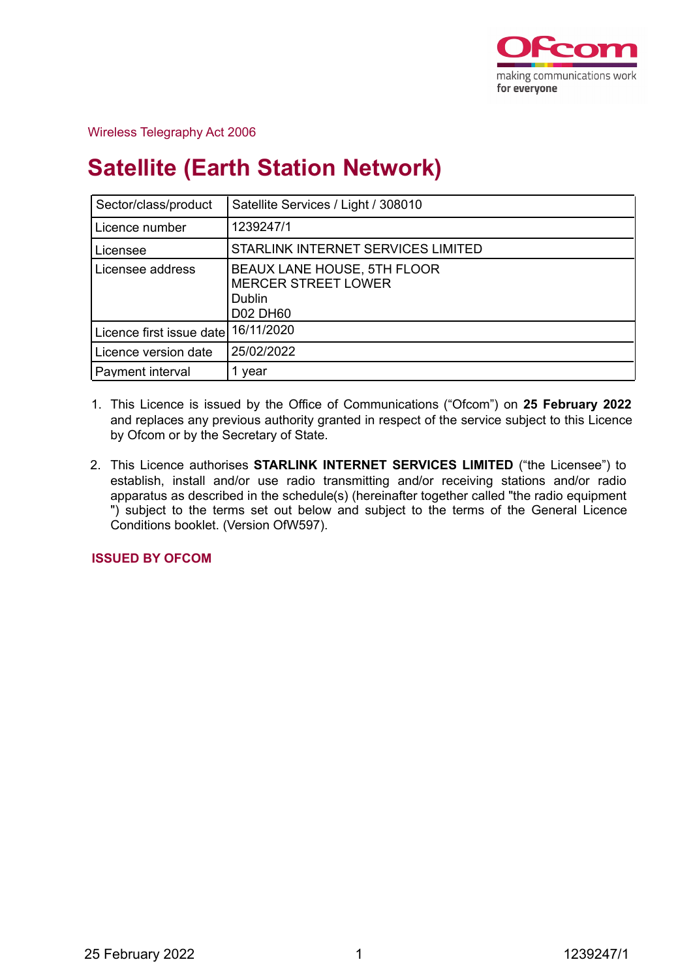

## Wireless Telegraphy Act 2006

# **Satellite (Earth Station Network)**

| Sector/class/product                | Satellite Services / Light / 308010                                                    |
|-------------------------------------|----------------------------------------------------------------------------------------|
| Licence number                      | 1239247/1                                                                              |
| Licensee                            | STARLINK INTERNET SERVICES LIMITED                                                     |
| Licensee address                    | BEAUX LANE HOUSE, 5TH FLOOR<br><b>MERCER STREET LOWER</b><br>Dublin<br><b>D02 DH60</b> |
| Licence first issue date 16/11/2020 |                                                                                        |
| Licence version date                | 25/02/2022                                                                             |
| Payment interval                    | 1 year                                                                                 |

- 1. This Licence is issued by the Office of Communications ("Ofcom") on **25 February 2022** and replaces any previous authority granted in respect of the service subject to this Licence by Ofcom or by the Secretary of State.
- 2. This Licence authorises **STARLINK INTERNET SERVICES LIMITED** ("the Licensee") to establish, install and/or use radio transmitting and/or receiving stations and/or radio apparatus as described in the schedule(s) (hereinafter together called "the radio equipment ") subject to the terms set out below and subject to the terms of the General Licence Conditions booklet. (Version OfW597).

**ISSUED BY OFCOM**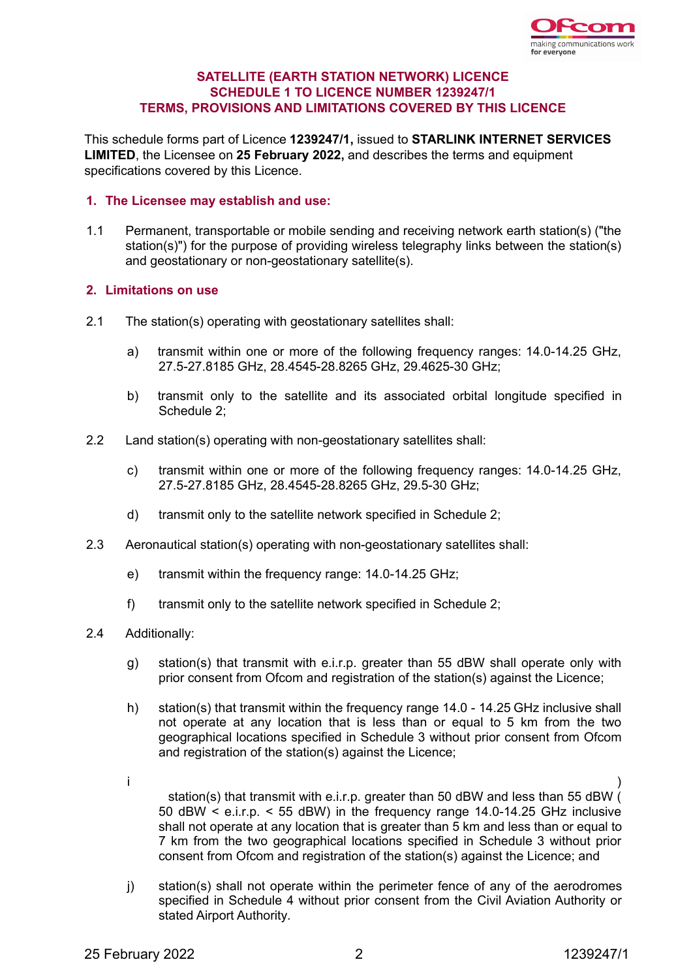

## **SATELLITE (EARTH STATION NETWORK) LICENCE SCHEDULE 1 TO LICENCE NUMBER 1239247/1 TERMS, PROVISIONS AND LIMITATIONS COVERED BY THIS LICENCE**

This schedule forms part of Licence **1239247/1,** issued to **STARLINK INTERNET SERVICES LIMITED**, the Licensee on **25 February 2022,** and describes the terms and equipment specifications covered by this Licence.

## **1. The Licensee may establish and use:**

1.1 Permanent, transportable or mobile sending and receiving network earth station(s) ("the station(s)") for the purpose of providing wireless telegraphy links between the station(s) and geostationary or non-geostationary satellite(s).

## **2. Limitations on use**

- 2.1 The station(s) operating with geostationary satellites shall:
	- a) transmit within one or more of the following frequency ranges: 14.0-14.25 GHz, 27.5-27.8185 GHz, 28.4545-28.8265 GHz, 29.4625-30 GHz;
	- b) transmit only to the satellite and its associated orbital longitude specified in Schedule 2;
- 2.2 Land station(s) operating with non-geostationary satellites shall:
	- c) transmit within one or more of the following frequency ranges: 14.0-14.25 GHz, 27.5-27.8185 GHz, 28.4545-28.8265 GHz, 29.5-30 GHz;
	- d) transmit only to the satellite network specified in Schedule 2;
- 2.3 Aeronautical station(s) operating with non-geostationary satellites shall:
	- e) transmit within the frequency range: 14.0-14.25 GHz;
	- f) transmit only to the satellite network specified in Schedule 2;
- 2.4 Additionally:
	- g) station(s) that transmit with e.i.r.p. greater than 55 dBW shall operate only with prior consent from Ofcom and registration of the station(s) against the Licence;
	- h) station(s) that transmit within the frequency range 14.0 14.25 GHz inclusive shall not operate at any location that is less than or equal to 5 km from the two geographical locations specified in Schedule 3 without prior consent from Ofcom and registration of the station(s) against the Licence;
	- i ) station(s) that transmit with e.i.r.p. greater than 50 dBW and less than 55 dBW ( 50 dBW < e.i.r.p. < 55 dBW) in the frequency range 14.0-14.25 GHz inclusive shall not operate at any location that is greater than 5 km and less than or equal to 7 km from the two geographical locations specified in Schedule 3 without prior consent from Ofcom and registration of the station(s) against the Licence; and
	- j) station(s) shall not operate within the perimeter fence of any of the aerodromes specified in Schedule 4 without prior consent from the Civil Aviation Authority or stated Airport Authority.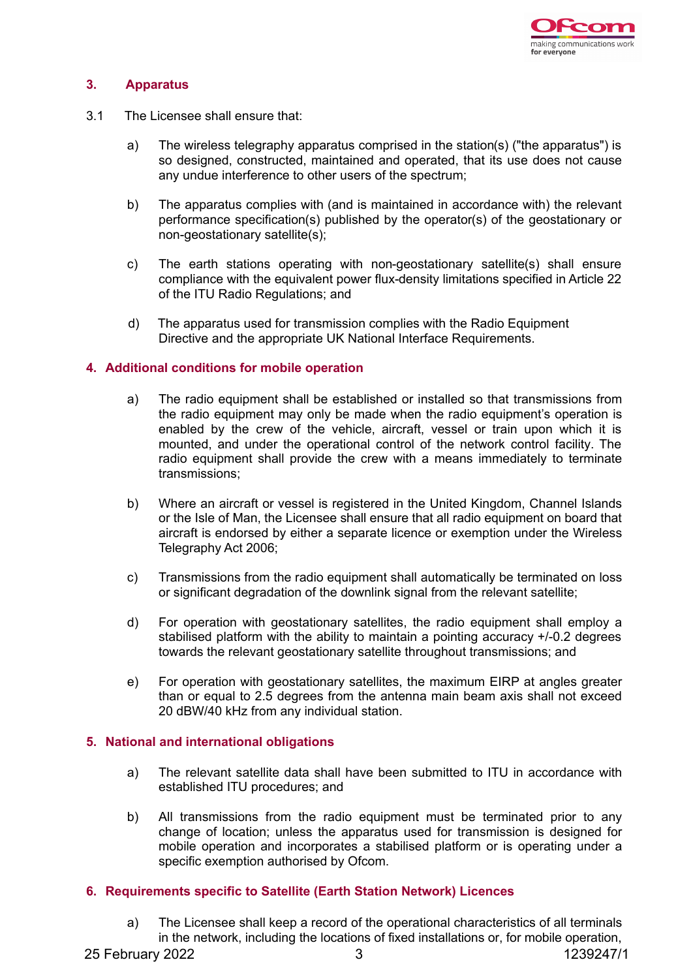

## **3. Apparatus**

- 3.1 The Licensee shall ensure that:
	- a) The wireless telegraphy apparatus comprised in the station(s) ("the apparatus") is so designed, constructed, maintained and operated, that its use does not cause any undue interference to other users of the spectrum;
	- b) The apparatus complies with (and is maintained in accordance with) the relevant performance specification(s) published by the operator(s) of the geostationary or non-geostationary satellite(s);
	- c) The earth stations operating with non-geostationary satellite(s) shall ensure compliance with the equivalent power flux-density limitations specified in Article 22 of the ITU Radio Regulations; and
	- d) The apparatus used for transmission complies with the Radio Equipment Directive and the appropriate UK National Interface Requirements.

#### **4. Additional conditions for mobile operation**

- a) The radio equipment shall be established or installed so that transmissions from the radio equipment may only be made when the radio equipment's operation is enabled by the crew of the vehicle, aircraft, vessel or train upon which it is mounted, and under the operational control of the network control facility. The radio equipment shall provide the crew with a means immediately to terminate transmissions;
- b) Where an aircraft or vessel is registered in the United Kingdom, Channel Islands or the Isle of Man, the Licensee shall ensure that all radio equipment on board that aircraft is endorsed by either a separate licence or exemption under the Wireless Telegraphy Act 2006;
- c) Transmissions from the radio equipment shall automatically be terminated on loss or significant degradation of the downlink signal from the relevant satellite;
- d) For operation with geostationary satellites, the radio equipment shall employ a stabilised platform with the ability to maintain a pointing accuracy +/-0.2 degrees towards the relevant geostationary satellite throughout transmissions; and
- e) For operation with geostationary satellites, the maximum EIRP at angles greater than or equal to 2.5 degrees from the antenna main beam axis shall not exceed 20 dBW/40 kHz from any individual station.

#### **5. National and international obligations**

- a) The relevant satellite data shall have been submitted to ITU in accordance with established ITU procedures; and
- b) All transmissions from the radio equipment must be terminated prior to any change of location; unless the apparatus used for transmission is designed for mobile operation and incorporates a stabilised platform or is operating under a specific exemption authorised by Ofcom.

## **6. Requirements specific to Satellite (Earth Station Network) Licences**

a) The Licensee shall keep a record of the operational characteristics of all terminals in the network, including the locations of fixed installations or, for mobile operation,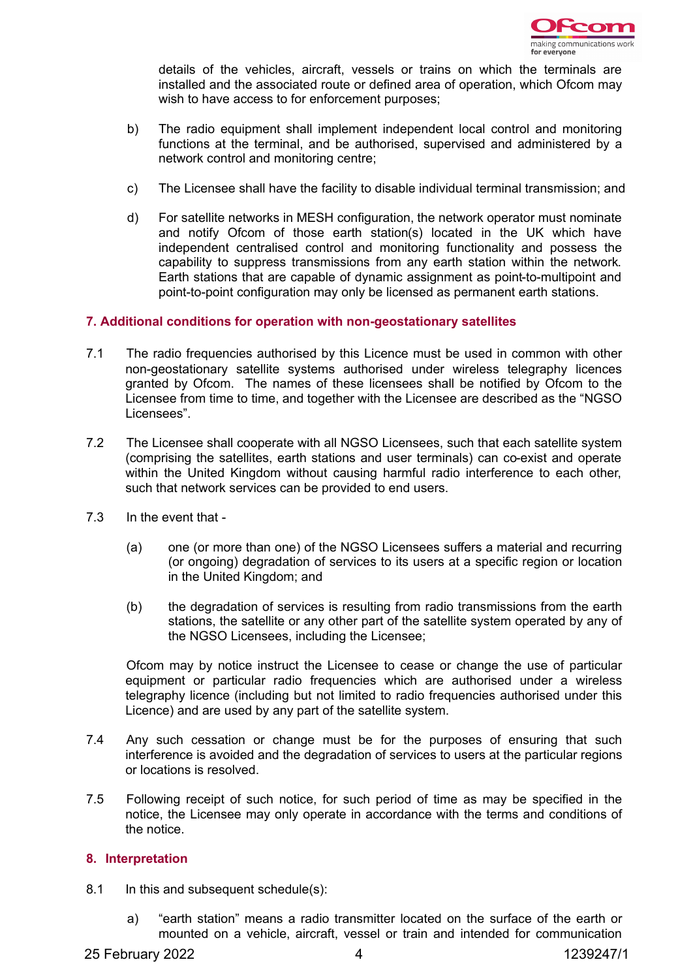

details of the vehicles, aircraft, vessels or trains on which the terminals are installed and the associated route or defined area of operation, which Ofcom may wish to have access to for enforcement purposes;

- b) The radio equipment shall implement independent local control and monitoring functions at the terminal, and be authorised, supervised and administered by a network control and monitoring centre;
- c) The Licensee shall have the facility to disable individual terminal transmission; and
- d) For satellite networks in MESH configuration, the network operator must nominate and notify Ofcom of those earth station(s) located in the UK which have independent centralised control and monitoring functionality and possess the capability to suppress transmissions from any earth station within the network. Earth stations that are capable of dynamic assignment as point-to-multipoint and point-to-point configuration may only be licensed as permanent earth stations.

## **7. Additional conditions for operation with non-geostationary satellites**

- 7.1 The radio frequencies authorised by this Licence must be used in common with other non-geostationary satellite systems authorised under wireless telegraphy licences granted by Ofcom. The names of these licensees shall be notified by Ofcom to the Licensee from time to time, and together with the Licensee are described as the "NGSO Licensees".
- 7.2 The Licensee shall cooperate with all NGSO Licensees, such that each satellite system (comprising the satellites, earth stations and user terminals) can co-exist and operate within the United Kingdom without causing harmful radio interference to each other, such that network services can be provided to end users.
- 7.3 In the event that
	- (a) one (or more than one) of the NGSO Licensees suffers a material and recurring (or ongoing) degradation of services to its users at a specific region or location in the United Kingdom; and
	- (b) the degradation of services is resulting from radio transmissions from the earth stations, the satellite or any other part of the satellite system operated by any of the NGSO Licensees, including the Licensee;

Ofcom may by notice instruct the Licensee to cease or change the use of particular equipment or particular radio frequencies which are authorised under a wireless telegraphy licence (including but not limited to radio frequencies authorised under this Licence) and are used by any part of the satellite system.

- 7.4 Any such cessation or change must be for the purposes of ensuring that such interference is avoided and the degradation of services to users at the particular regions or locations is resolved.
- 7.5 Following receipt of such notice, for such period of time as may be specified in the notice, the Licensee may only operate in accordance with the terms and conditions of the notice.

#### **8. Interpretation**

- 8.1 In this and subsequent schedule(s):
	- a) "earth station" means a radio transmitter located on the surface of the earth or mounted on a vehicle, aircraft, vessel or train and intended for communication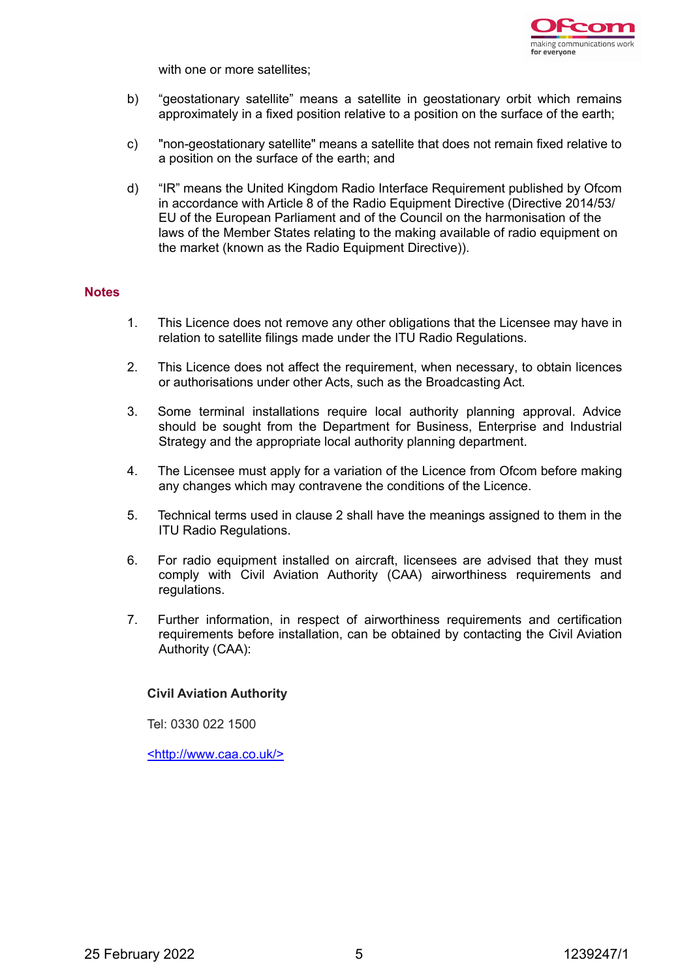

with one or more satellites;

- b) "geostationary satellite" means a satellite in geostationary orbit which remains approximately in a fixed position relative to a position on the surface of the earth;
- c) "non-geostationary satellite" means a satellite that does not remain fixed relative to a position on the surface of the earth; and
- d) "IR" means the United Kingdom Radio Interface Requirement published by Ofcom in accordance with Article 8 of the Radio Equipment Directive (Directive 2014/53/ EU of the European Parliament and of the Council on the harmonisation of the laws of the Member States relating to the making available of radio equipment on the market (known as the Radio Equipment Directive)).

#### **Notes**

- 1. This Licence does not remove any other obligations that the Licensee may have in relation to satellite filings made under the ITU Radio Regulations.
- 2. This Licence does not affect the requirement, when necessary, to obtain licences or authorisations under other Acts, such as the Broadcasting Act.
- 3. Some terminal installations require local authority planning approval. Advice should be sought from the Department for Business, Enterprise and Industrial Strategy and the appropriate local authority planning department.
- 4. The Licensee must apply for a variation of the Licence from Ofcom before making any changes which may contravene the conditions of the Licence.
- 5. Technical terms used in clause 2 shall have the meanings assigned to them in the ITU Radio Regulations.
- 6. For radio equipment installed on aircraft, licensees are advised that they must comply with Civil Aviation Authority (CAA) airworthiness requirements and regulations.
- 7. Further information, in respect of airworthiness requirements and certification requirements before installation, can be obtained by contacting the Civil Aviation Authority (CAA):

#### **Civil Aviation Authority**

Tel: 0330 022 1500

<http://www.caa.co.uk/>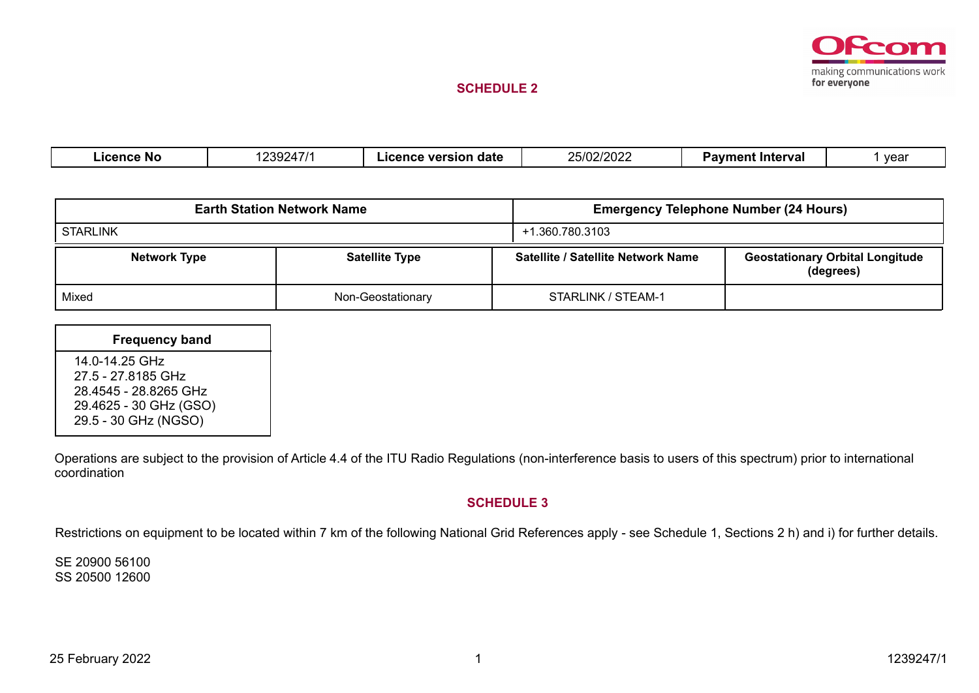

#### **SCHEDULE 2**

| .icence No | 10000171<br>$\sqrt{1}$<br>24 I<br>$\cdots$ | . date<br>version<br>Icence | 25/02/2020<br>25/02/2022 | ' Intervaì<br>vavmen<br>--- | vear |
|------------|--------------------------------------------|-----------------------------|--------------------------|-----------------------------|------|
|            |                                            |                             |                          |                             |      |

|                     | <b>Earth Station Network Name</b> | <b>Emergency Telephone Number (24 Hours)</b> |                                                     |  |  |  |  |
|---------------------|-----------------------------------|----------------------------------------------|-----------------------------------------------------|--|--|--|--|
| <b>STARLINK</b>     |                                   | +1.360.780.3103                              |                                                     |  |  |  |  |
| <b>Network Type</b> | <b>Satellite Type</b>             | Satellite / Satellite Network Name           | <b>Geostationary Orbital Longitude</b><br>(degrees) |  |  |  |  |
| Mixed               | Non-Geostationary                 | STARLINK / STEAM-1                           |                                                     |  |  |  |  |

| <b>Frequency band</b>                                                                                           |  |
|-----------------------------------------------------------------------------------------------------------------|--|
| 14.0-14.25 GHz<br>27.5 - 27.8185 GHz<br>28.4545 - 28.8265 GHz<br>29.4625 - 30 GHz (GSO)<br>29.5 - 30 GHz (NGSO) |  |

Operations are subject to the provision of Article 4.4 of the ITU Radio Regulations (non-interference basis to users of this spectrum) prior to international coordination

#### **SCHEDULE 3**

Restrictions on equipment to be located within 7 km of the following National Grid References apply - see Schedule 1, Sections 2 h) and i) for further details.

SE 20900 56100 SS 20500 12600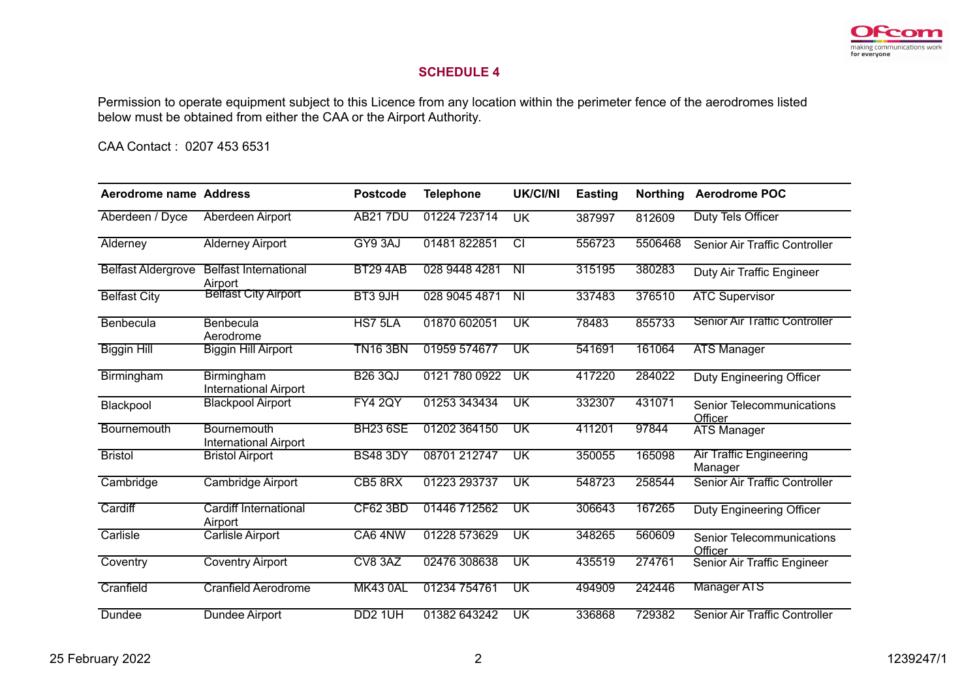

## **SCHEDULE 4**

Permission to operate equipment subject to this Licence from any location within the perimeter fence of the aerodromes listed below must be obtained from either the CAA or the Airport Authority.

CAA Contact : 0207 453 6531

| Aerodrome name Address    |                                             | <b>Postcode</b>     | <b>Telephone</b> | <b>UK/CI/NI</b>          | <b>Easting</b> | <b>Northing</b> | <b>Aerodrome POC</b>                      |
|---------------------------|---------------------------------------------|---------------------|------------------|--------------------------|----------------|-----------------|-------------------------------------------|
| Aberdeen / Dyce           | Aberdeen Airport                            | <b>AB217DU</b>      | 01224 723714     | <b>UK</b>                | 387997         | 812609          | Duty Tels Officer                         |
| Alderney                  | <b>Alderney Airport</b>                     | GY9 3AJ             | 01481822851      | टा                       | 556723         | 5506468         | Senior Air Traffic Controller             |
| <b>Belfast Aldergrove</b> | <b>Belfast International</b><br>Airport     | <b>BT29 4AB</b>     | 028 9448 4281    | $\overline{N}$           | 315195         | 380283          | Duty Air Traffic Engineer                 |
| <b>Belfast City</b>       | <b>Belfast City Airport</b>                 | BT3 9JH             | 028 9045 4871    | $\overline{\mathsf{N}}$  | 337483         | 376510          | <b>ATC Supervisor</b>                     |
| Benbecula                 | Benbecula<br>Aerodrome                      | HS7 5LA             | 01870 602051     | UK                       | 78483          | 855733          | <b>Senior Air Traffic Controller</b>      |
| <b>Biggin Hill</b>        | <b>Biggin Hill Airport</b>                  | <b>TN16 3BN</b>     | 01959 574677     | UK                       | 541691         | 161064          | <b>ATS Manager</b>                        |
| Birmingham                | Birmingham<br><b>International Airport</b>  | <b>B26 3QJ</b>      | 0121 780 0922    | UK                       | 417220         | 284022          | Duty Engineering Officer                  |
| Blackpool                 | <b>Blackpool Airport</b>                    | <b>FY4 2QY</b>      | 01253 343434     | UK                       | 332307         | 431071          | Senior Telecommunications<br>Officer      |
| Bournemouth               | Bournemouth<br><b>International Airport</b> | <b>BH23 6SE</b>     | 01202 364150     | UK                       | 411201         | 97844           | <b>ATS Manager</b>                        |
| <b>Bristol</b>            | <b>Bristol Airport</b>                      | <b>BS48 3DY</b>     | 08701 212747     | UK                       | 350055         | 165098          | <b>Air Traffic Engineering</b><br>Manager |
| Cambridge                 | <b>Cambridge Airport</b>                    | CB5 8RX             | 01223 293737     | UK                       | 548723         | 258544          | Senior Air Traffic Controller             |
| Cardiff                   | Cardiff International<br>Airport            | <b>CF62 3BD</b>     | 01446 712562     | UK                       | 306643         | 167265          | Duty Engineering Officer                  |
| Carlisle                  | <b>Carlisle Airport</b>                     | CA6 4NW             | 01228 573629     | $\overline{\mathsf{UK}}$ | 348265         | 560609          | Senior Telecommunications<br>Officer      |
| Coventry                  | <b>Coventry Airport</b>                     | CV8 3AZ             | 02476 308638     | UK                       | 435519         | 274761          | Senior Air Traffic Engineer               |
| Cranfield                 | <b>Cranfield Aerodrome</b>                  | <b>MK43 0AL</b>     | 01234 754761     | UK                       | 494909         | 242446          | <b>Manager ATS</b>                        |
| Dundee                    | Dundee Airport                              | DD <sub>2</sub> 1UH | 01382 643242     | UK                       | 336868         | 729382          | Senior Air Traffic Controller             |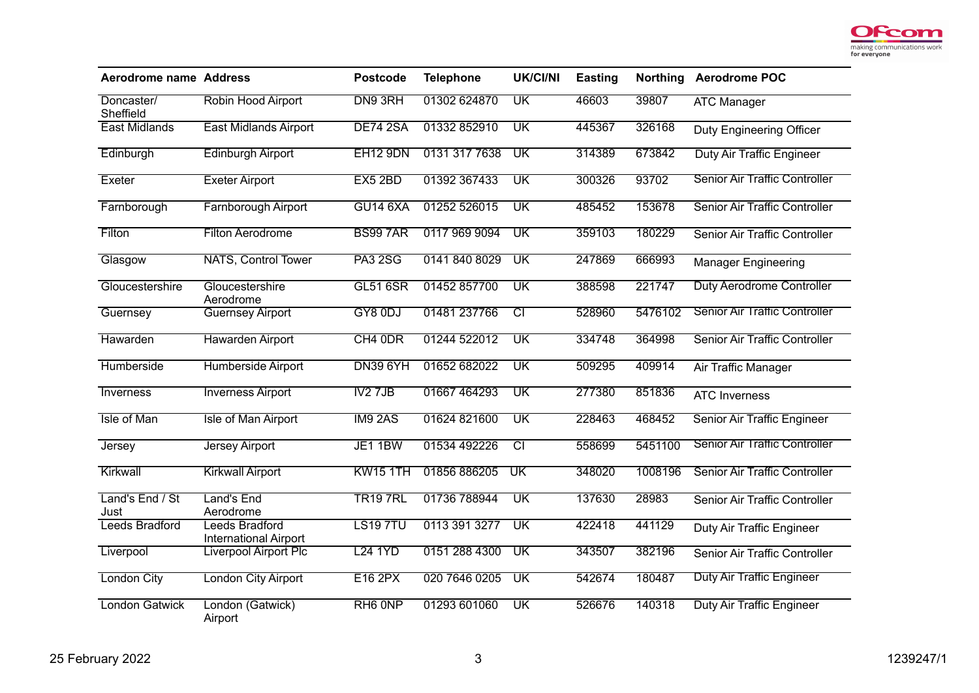

| <b>Aerodrome name Address</b> |                                                | <b>Postcode</b>     | <b>Telephone</b> | <b>UK/CI/NI</b>          | <b>Easting</b> | <b>Northing</b> | <b>Aerodrome POC</b>                 |
|-------------------------------|------------------------------------------------|---------------------|------------------|--------------------------|----------------|-----------------|--------------------------------------|
| Doncaster/<br>Sheffield       | Robin Hood Airport                             | DN9 3RH             | 01302 624870     | UK                       | 46603          | 39807           | <b>ATC Manager</b>                   |
| <b>East Midlands</b>          | <b>East Midlands Airport</b>                   | <b>DE74 2SA</b>     | 01332 852910     | UK                       | 445367         | 326168          | Duty Engineering Officer             |
| Edinburgh                     | <b>Edinburgh Airport</b>                       | <b>EH12 9DN</b>     | 0131 317 7638    | $\overline{\mathsf{UK}}$ | 314389         | 673842          | <b>Duty Air Traffic Engineer</b>     |
| Exeter                        | <b>Exeter Airport</b>                          | EX5 2BD             | 01392 367433     | $\overline{\text{UK}}$   | 300326         | 93702           | <b>Senior Air Traffic Controller</b> |
| Farnborough                   | <b>Farnborough Airport</b>                     | <b>GU14 6XA</b>     | 01252 526015     | $\overline{\textsf{UK}}$ | 485452         | 153678          | Senior Air Traffic Controller        |
| Filton                        | <b>Filton Aerodrome</b>                        | <b>BS997AR</b>      | 0117 969 9094    | $\overline{\text{UK}}$   | 359103         | 180229          | Senior Air Traffic Controller        |
| Glasgow                       | <b>NATS, Control Tower</b>                     | <b>PA3 2SG</b>      | 0141 840 8029    | $\overline{\mathsf{UK}}$ | 247869         | 666993          | <b>Manager Engineering</b>           |
| Gloucestershire               | Gloucestershire<br>Aerodrome                   | <b>GL51 6SR</b>     | 01452 857700     | $\overline{\mathsf{UK}}$ | 388598         | 221747          | Duty Aerodrome Controller            |
| Guernsey                      | <b>Guernsey Airport</b>                        | GY8 0DJ             | 01481 237766     | $\overline{\text{CI}}$   | 528960         | 5476102         | <b>Senior Air Traffic Controller</b> |
| Hawarden                      | <b>Hawarden Airport</b>                        | CH4 0DR             | 01244 522012     | $\overline{\mathsf{UK}}$ | 334748         | 364998          | Senior Air Traffic Controller        |
| Humberside                    | Humberside Airport                             | <b>DN39 6YH</b>     | 01652 682022     | $\overline{\text{UK}}$   | 509295         | 409914          | Air Traffic Manager                  |
| Inverness                     | <b>Inverness Airport</b>                       | IV2 7JB             | 01667 464293     | $\overline{\textsf{UK}}$ | 277380         | 851836          | <b>ATC Inverness</b>                 |
| Isle of Man                   | <b>Isle of Man Airport</b>                     | <b>IM9 2AS</b>      | 01624 821600     | $\overline{\mathsf{UK}}$ | 228463         | 468452          | Senior Air Traffic Engineer          |
| <b>Jersey</b>                 | <b>Jersey Airport</b>                          | JE1 1BW             | 01534 492226     | टा                       | 558699         | 5451100         | <b>Senior Air Traffic Controller</b> |
| Kirkwall                      | <b>Kirkwall Airport</b>                        | <b>KW15 1TH</b>     | 01856 886205     | $\overline{\text{UK}}$   | 348020         | 1008196         | Senior Air Traffic Controller        |
| Land's End / St<br>Just       | Land's End<br>Aerodrome                        | <b>TR19 7RL</b>     | 01736 788944     | $\overline{\mathsf{UK}}$ | 137630         | 28983           | Senior Air Traffic Controller        |
| <b>Leeds Bradford</b>         | Leeds Bradford<br><b>International Airport</b> | <b>LS19 7TU</b>     | 0113 391 3277    | $\overline{\mathsf{UK}}$ | 422418         | 441129          | Duty Air Traffic Engineer            |
| Liverpool                     | <b>Liverpool Airport Plc</b>                   | <b>L24 1YD</b>      | 0151 288 4300    | $\overline{\mathsf{UK}}$ | 343507         | 382196          | Senior Air Traffic Controller        |
| <b>London City</b>            | <b>London City Airport</b>                     | <b>E16 2PX</b>      | 020 7646 0205    | $\overline{\mathsf{UK}}$ | 542674         | 180487          | <b>Duty Air Traffic Engineer</b>     |
| <b>London Gatwick</b>         | London (Gatwick)<br>Airport                    | RH <sub>6</sub> ONP | 01293 601060     | $\overline{\textsf{UK}}$ | 526676         | 140318          | <b>Duty Air Traffic Engineer</b>     |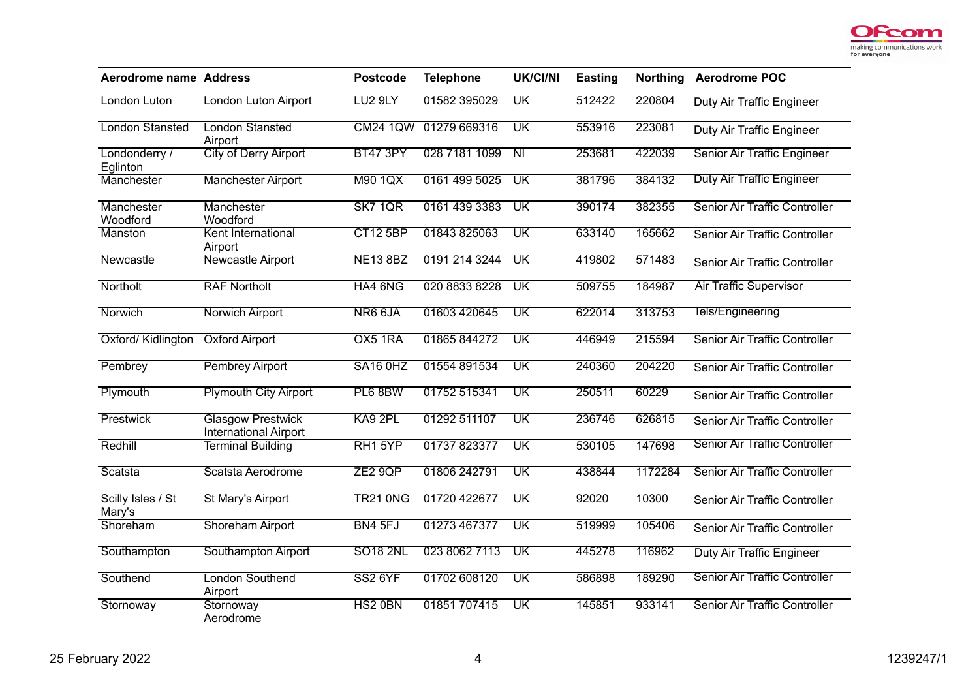

| <b>Aerodrome name Address</b> |                                                          | <b>Postcode</b>     | <b>Telephone</b> | <b>UK/CI/NI</b>          | <b>Easting</b> | <b>Northing</b> | <b>Aerodrome POC</b>                 |
|-------------------------------|----------------------------------------------------------|---------------------|------------------|--------------------------|----------------|-----------------|--------------------------------------|
| London Luton                  | London Luton Airport                                     | LU <sub>2</sub> 9LY | 01582 395029     | $\overline{\mathsf{UK}}$ | 512422         | 220804          | Duty Air Traffic Engineer            |
| <b>London Stansted</b>        | <b>London Stansted</b><br>Airport                        | <b>CM24 1QW</b>     | 01279 669316     | UK                       | 553916         | 223081          | Duty Air Traffic Engineer            |
| Londonderry /<br>Eglinton     | <b>City of Derry Airport</b>                             | <b>BT47 3PY</b>     | 028 7181 1099    | $\overline{N}$           | 253681         | 422039          | Senior Air Traffic Engineer          |
| Manchester                    | <b>Manchester Airport</b>                                | M90 1QX             | 0161 499 5025    | $\overline{\mathsf{UK}}$ | 381796         | 384132          | <b>Duty Air Traffic Engineer</b>     |
| Manchester<br>Woodford        | Manchester<br>Woodford                                   | <b>SK7 1QR</b>      | 0161 439 3383    | $\overline{\mathsf{UK}}$ | 390174         | 382355          | Senior Air Traffic Controller        |
| Manston                       | Kent International<br>Airport                            | <b>CT12 5BP</b>     | 01843 825063     | $\overline{\textsf{UK}}$ | 633140         | 165662          | Senior Air Traffic Controller        |
| Newcastle                     | <b>Newcastle Airport</b>                                 | <b>NE13 8BZ</b>     | 0191 214 3244    | $\overline{\textsf{UK}}$ | 419802         | 571483          | Senior Air Traffic Controller        |
| Northolt                      | <b>RAF Northolt</b>                                      | HA4 6NG             | 020 8833 8228    | $\overline{\mathsf{UK}}$ | 509755         | 184987          | <b>Air Traffic Supervisor</b>        |
| Norwich                       | <b>Norwich Airport</b>                                   | NR6 6JA             | 01603 420645     | $\overline{\textsf{UK}}$ | 622014         | 313753          | Tels/Engineering                     |
| Oxford/Kidlington             | <b>Oxford Airport</b>                                    | OX5 1RA             | 01865 844272     | $\overline{\textsf{UK}}$ | 446949         | 215594          | <b>Senior Air Traffic Controller</b> |
| Pembrey                       | <b>Pembrey Airport</b>                                   | SA16 OHZ            | 01554 891534     | $\overline{\text{UK}}$   | 240360         | 204220          | Senior Air Traffic Controller        |
| Plymouth                      | <b>Plymouth City Airport</b>                             | PL6 8BW             | 01752 515341     | $\overline{\mathsf{UK}}$ | 250511         | 60229           | Senior Air Traffic Controller        |
| Prestwick                     | <b>Glasgow Prestwick</b><br><b>International Airport</b> | KA9 2PL             | 01292 511107     | $\overline{\mathsf{UK}}$ | 236746         | 626815          | Senior Air Traffic Controller        |
| Redhill                       | <b>Terminal Building</b>                                 | RH1 5YP             | 01737823377      | $\overline{\mathsf{UK}}$ | 530105         | 147698          | <b>Senior Air Traffic Controller</b> |
| Scatsta                       | Scatsta Aerodrome                                        | ZE29QP              | 01806 242791     | $\overline{\textsf{UK}}$ | 438844         | 1172284         | Senior Air Traffic Controller        |
| Scilly Isles / St<br>Mary's   | <b>St Mary's Airport</b>                                 | <b>TR21 0NG</b>     | 01720 422677     | $\overline{\text{UK}}$   | 92020          | 10300           | Senior Air Traffic Controller        |
| Shoreham                      | <b>Shoreham Airport</b>                                  | BN4 5FJ             | 01273 467377     | $\overline{\mathsf{UK}}$ | 519999         | 105406          | Senior Air Traffic Controller        |
| Southampton                   | Southampton Airport                                      | <b>SO18 2NL</b>     | 023 8062 7113    | UK                       | 445278         | 116962          | <b>Duty Air Traffic Engineer</b>     |
| Southend                      | <b>London Southend</b><br>Airport                        | <b>SS2 6YF</b>      | 01702 608120     | $\overline{\text{UK}}$   | 586898         | 189290          | <b>Senior Air Traffic Controller</b> |
| Stornoway                     | Stornoway<br>Aerodrome                                   | HS2 0BN             | 01851 707415     | $\overline{\mathsf{UK}}$ | 145851         | 933141          | Senior Air Traffic Controller        |